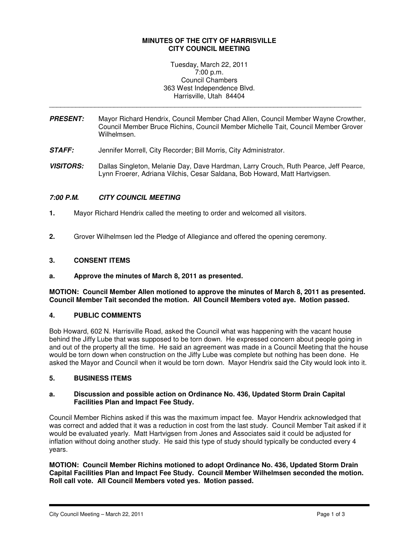### **MINUTES OF THE CITY OF HARRISVILLE CITY COUNCIL MEETING**

Tuesday, March 22, 2011 7:00 p.m. Council Chambers 363 West Independence Blvd. Harrisville, Utah 84404

**PRESENT:** Mayor Richard Hendrix, Council Member Chad Allen, Council Member Wayne Crowther, Council Member Bruce Richins, Council Member Michelle Tait, Council Member Grover Wilhelmsen.

\_\_\_\_\_\_\_\_\_\_\_\_\_\_\_\_\_\_\_\_\_\_\_\_\_\_\_\_\_\_\_\_\_\_\_\_\_\_\_\_\_\_\_\_\_\_\_\_\_\_\_\_\_\_\_\_\_\_\_\_\_\_\_\_\_\_\_\_\_\_\_\_\_\_\_\_\_\_\_\_\_\_

- **STAFF:** Jennifer Morrell, City Recorder; Bill Morris, City Administrator.
- **VISITORS:** Dallas Singleton, Melanie Day, Dave Hardman, Larry Crouch, Ruth Pearce, Jeff Pearce, Lynn Froerer, Adriana Vilchis, Cesar Saldana, Bob Howard, Matt Hartvigsen.

## **7:00 P.M. CITY COUNCIL MEETING**

- **1.** Mayor Richard Hendrix called the meeting to order and welcomed all visitors.
- **2.** Grover Wilhelmsen led the Pledge of Allegiance and offered the opening ceremony.

### **3. CONSENT ITEMS**

**a. Approve the minutes of March 8, 2011 as presented.**

**MOTION: Council Member Allen motioned to approve the minutes of March 8, 2011 as presented. Council Member Tait seconded the motion. All Council Members voted aye. Motion passed.** 

### **4. PUBLIC COMMENTS**

Bob Howard, 602 N. Harrisville Road, asked the Council what was happening with the vacant house behind the Jiffy Lube that was supposed to be torn down. He expressed concern about people going in and out of the property all the time. He said an agreement was made in a Council Meeting that the house would be torn down when construction on the Jiffy Lube was complete but nothing has been done. He asked the Mayor and Council when it would be torn down. Mayor Hendrix said the City would look into it.

## **5. BUSINESS ITEMS**

### **a. Discussion and possible action on Ordinance No. 436, Updated Storm Drain Capital Facilities Plan and Impact Fee Study.**

Council Member Richins asked if this was the maximum impact fee. Mayor Hendrix acknowledged that was correct and added that it was a reduction in cost from the last study. Council Member Tait asked if it would be evaluated yearly. Matt Hartvigsen from Jones and Associates said it could be adjusted for inflation without doing another study. He said this type of study should typically be conducted every 4 years.

**MOTION: Council Member Richins motioned to adopt Ordinance No. 436, Updated Storm Drain Capital Facilities Plan and Impact Fee Study. Council Member Wilhelmsen seconded the motion. Roll call vote. All Council Members voted yes. Motion passed.**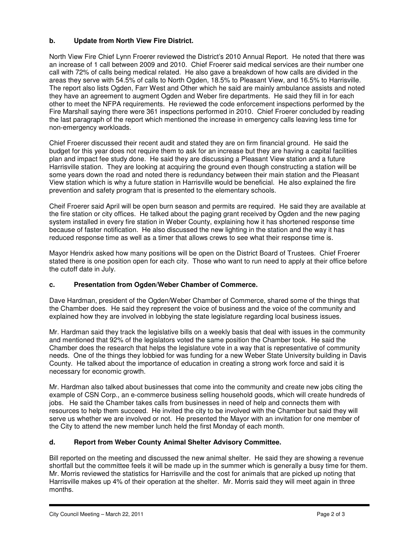# **b. Update from North View Fire District.**

North View Fire Chief Lynn Froerer reviewed the District's 2010 Annual Report. He noted that there was an increase of 1 call between 2009 and 2010. Chief Froerer said medical services are their number one call with 72% of calls being medical related. He also gave a breakdown of how calls are divided in the areas they serve with 54.5% of calls to North Ogden, 18.5% to Pleasant View, and 16.5% to Harrisville. The report also lists Ogden, Farr West and Other which he said are mainly ambulance assists and noted they have an agreement to augment Ogden and Weber fire departments. He said they fill in for each other to meet the NFPA requirements. He reviewed the code enforcement inspections performed by the Fire Marshall saying there were 361 inspections performed in 2010. Chief Froerer concluded by reading the last paragraph of the report which mentioned the increase in emergency calls leaving less time for non-emergency workloads.

Chief Froerer discussed their recent audit and stated they are on firm financial ground. He said the budget for this year does not require them to ask for an increase but they are having a capital facilities plan and impact fee study done. He said they are discussing a Pleasant View station and a future Harrisville station. They are looking at acquiring the ground even though constructing a station will be some years down the road and noted there is redundancy between their main station and the Pleasant View station which is why a future station in Harrisville would be beneficial. He also explained the fire prevention and safety program that is presented to the elementary schools.

Cheif Froerer said April will be open burn season and permits are required. He said they are available at the fire station or city offices. He talked about the paging grant received by Ogden and the new paging system installed in every fire station in Weber County, explaining how it has shortened response time because of faster notification. He also discussed the new lighting in the station and the way it has reduced response time as well as a timer that allows crews to see what their response time is.

Mayor Hendrix asked how many positions will be open on the District Board of Trustees. Chief Froerer stated there is one position open for each city. Those who want to run need to apply at their office before the cutoff date in July.

## **c. Presentation from Ogden/Weber Chamber of Commerce.**

Dave Hardman, president of the Ogden/Weber Chamber of Commerce, shared some of the things that the Chamber does. He said they represent the voice of business and the voice of the community and explained how they are involved in lobbying the state legislature regarding local business issues.

Mr. Hardman said they track the legislative bills on a weekly basis that deal with issues in the community and mentioned that 92% of the legislators voted the same position the Chamber took. He said the Chamber does the research that helps the legislature vote in a way that is representative of community needs. One of the things they lobbied for was funding for a new Weber State University building in Davis County. He talked about the importance of education in creating a strong work force and said it is necessary for economic growth.

Mr. Hardman also talked about businesses that come into the community and create new jobs citing the example of CSN Corp., an e-commerce business selling household goods, which will create hundreds of jobs. He said the Chamber takes calls from businesses in need of help and connects them with resources to help them succeed. He invited the city to be involved with the Chamber but said they will serve us whether we are involved or not. He presented the Mayor with an invitation for one member of the City to attend the new member lunch held the first Monday of each month.

## **d. Report from Weber County Animal Shelter Advisory Committee.**

Bill reported on the meeting and discussed the new animal shelter. He said they are showing a revenue shortfall but the committee feels it will be made up in the summer which is generally a busy time for them. Mr. Morris reviewed the statistics for Harrisville and the cost for animals that are picked up noting that Harrisville makes up 4% of their operation at the shelter. Mr. Morris said they will meet again in three months.